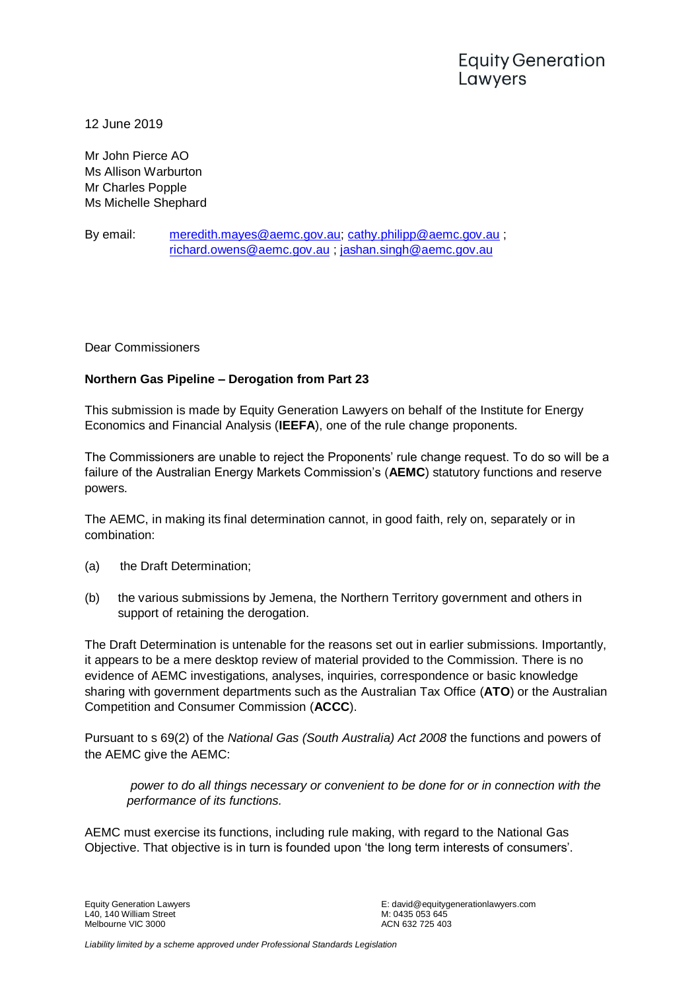12 June 2019

Mr John Pierce AO Ms Allison Warburton Mr Charles Popple Ms Michelle Shephard

By email: [meredith.mayes@aemc.gov.au;](mailto:meredith.mayes@aemc.gov.au) [cathy.philipp@aemc.gov.au](mailto:cathy.philipp@aemc.gov.au) ; [richard.owens@aemc.gov.au](mailto:richard.owens@aemc.gov.au) ; [jashan.singh@aemc.gov.au](mailto:jashan.singh@aemc.gov.au)

Dear Commissioners

## **Northern Gas Pipeline – Derogation from Part 23**

This submission is made by Equity Generation Lawyers on behalf of the Institute for Energy Economics and Financial Analysis (**IEEFA**), one of the rule change proponents.

The Commissioners are unable to reject the Proponents' rule change request. To do so will be a failure of the Australian Energy Markets Commission's (**AEMC**) statutory functions and reserve powers.

The AEMC, in making its final determination cannot, in good faith, rely on, separately or in combination:

- (a) the Draft Determination;
- (b) the various submissions by Jemena, the Northern Territory government and others in support of retaining the derogation.

The Draft Determination is untenable for the reasons set out in earlier submissions. Importantly, it appears to be a mere desktop review of material provided to the Commission. There is no evidence of AEMC investigations, analyses, inquiries, correspondence or basic knowledge sharing with government departments such as the Australian Tax Office (**ATO**) or the Australian Competition and Consumer Commission (**ACCC**).

Pursuant to s 69(2) of the *National Gas (South Australia) Act 2008* the functions and powers of the AEMC give the AEMC:

*power to do all things necessary or convenient to be done for or in connection with the performance of its functions.*

AEMC must exercise its functions, including rule making, with regard to the National Gas Objective. That objective is in turn is founded upon 'the long term interests of consumers'.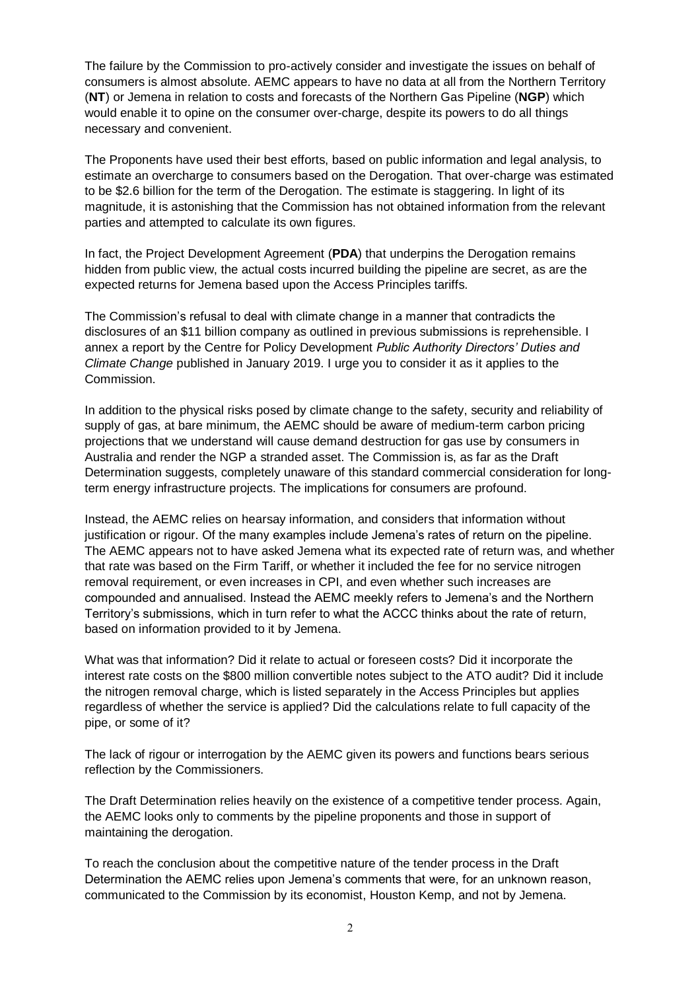The failure by the Commission to pro-actively consider and investigate the issues on behalf of consumers is almost absolute. AEMC appears to have no data at all from the Northern Territory (**NT**) or Jemena in relation to costs and forecasts of the Northern Gas Pipeline (**NGP**) which would enable it to opine on the consumer over-charge, despite its powers to do all things necessary and convenient.

The Proponents have used their best efforts, based on public information and legal analysis, to estimate an overcharge to consumers based on the Derogation. That over-charge was estimated to be \$2.6 billion for the term of the Derogation. The estimate is staggering. In light of its magnitude, it is astonishing that the Commission has not obtained information from the relevant parties and attempted to calculate its own figures.

In fact, the Project Development Agreement (**PDA**) that underpins the Derogation remains hidden from public view, the actual costs incurred building the pipeline are secret, as are the expected returns for Jemena based upon the Access Principles tariffs.

The Commission's refusal to deal with climate change in a manner that contradicts the disclosures of an \$11 billion company as outlined in previous submissions is reprehensible. I annex a report by the Centre for Policy Development *Public Authority Directors' Duties and Climate Change* published in January 2019. I urge you to consider it as it applies to the Commission.

In addition to the physical risks posed by climate change to the safety, security and reliability of supply of gas, at bare minimum, the AEMC should be aware of medium-term carbon pricing projections that we understand will cause demand destruction for gas use by consumers in Australia and render the NGP a stranded asset. The Commission is, as far as the Draft Determination suggests, completely unaware of this standard commercial consideration for longterm energy infrastructure projects. The implications for consumers are profound.

Instead, the AEMC relies on hearsay information, and considers that information without justification or rigour. Of the many examples include Jemena's rates of return on the pipeline. The AEMC appears not to have asked Jemena what its expected rate of return was, and whether that rate was based on the Firm Tariff, or whether it included the fee for no service nitrogen removal requirement, or even increases in CPI, and even whether such increases are compounded and annualised. Instead the AEMC meekly refers to Jemena's and the Northern Territory's submissions, which in turn refer to what the ACCC thinks about the rate of return, based on information provided to it by Jemena.

What was that information? Did it relate to actual or foreseen costs? Did it incorporate the interest rate costs on the \$800 million convertible notes subject to the ATO audit? Did it include the nitrogen removal charge, which is listed separately in the Access Principles but applies regardless of whether the service is applied? Did the calculations relate to full capacity of the pipe, or some of it?

The lack of rigour or interrogation by the AEMC given its powers and functions bears serious reflection by the Commissioners.

The Draft Determination relies heavily on the existence of a competitive tender process. Again, the AEMC looks only to comments by the pipeline proponents and those in support of maintaining the derogation.

To reach the conclusion about the competitive nature of the tender process in the Draft Determination the AEMC relies upon Jemena's comments that were, for an unknown reason, communicated to the Commission by its economist, Houston Kemp, and not by Jemena.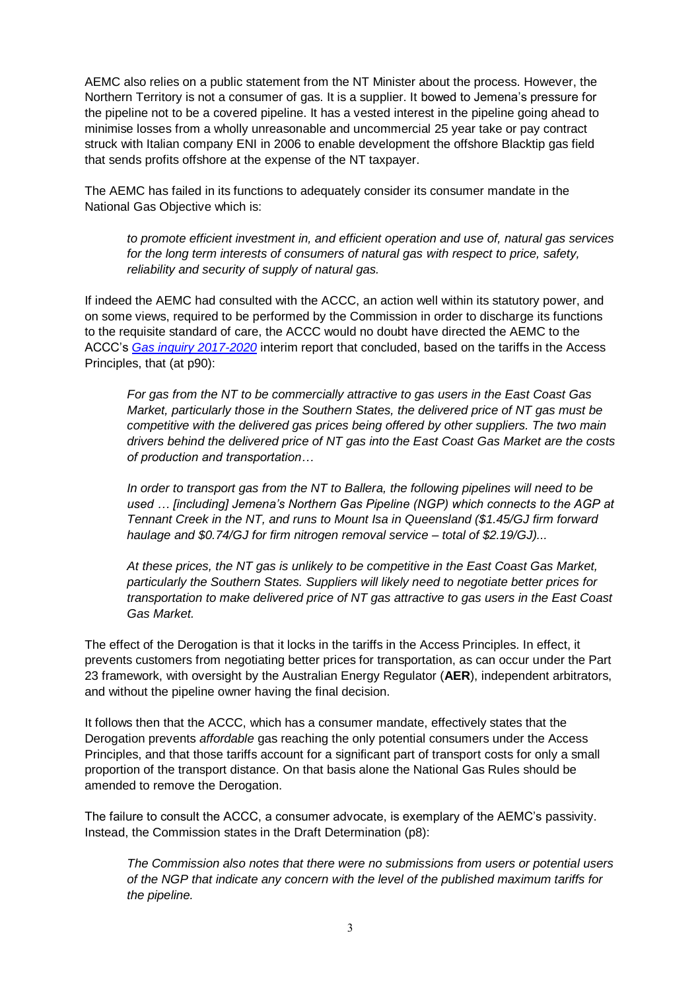AEMC also relies on a public statement from the NT Minister about the process. However, the Northern Territory is not a consumer of gas. It is a supplier. It bowed to Jemena's pressure for the pipeline not to be a covered pipeline. It has a vested interest in the pipeline going ahead to minimise losses from a wholly unreasonable and uncommercial 25 year take or pay contract struck with Italian company ENI in 2006 to enable development the offshore Blacktip gas field that sends profits offshore at the expense of the NT taxpayer.

The AEMC has failed in its functions to adequately consider its consumer mandate in the National Gas Objective which is:

*to promote efficient investment in, and efficient operation and use of, natural gas services for the long term interests of consumers of natural gas with respect to price, safety, reliability and security of supply of natural gas.*

If indeed the AEMC had consulted with the ACCC, an action well within its statutory power, and on some views, required to be performed by the Commission in order to discharge its functions to the requisite standard of care, the ACCC would no doubt have directed the AEMC to the ACCC's *[Gas inquiry 2017-2020](http://www.accc.gov.au/system/files/Gas%20inquiry%20December%202017%20interim%20report.pdf)* interim report that concluded, based on the tariffs in the Access Principles, that (at p90):

*For gas from the NT to be commercially attractive to gas users in the East Coast Gas Market, particularly those in the Southern States, the delivered price of NT gas must be competitive with the delivered gas prices being offered by other suppliers. The two main drivers behind the delivered price of NT gas into the East Coast Gas Market are the costs of production and transportation…*

*In order to transport gas from the NT to Ballera, the following pipelines will need to be used … [including] Jemena's Northern Gas Pipeline (NGP) which connects to the AGP at Tennant Creek in the NT, and runs to Mount Isa in Queensland (\$1.45/GJ firm forward haulage and \$0.74/GJ for firm nitrogen removal service – total of \$2.19/GJ)...*

*At these prices, the NT gas is unlikely to be competitive in the East Coast Gas Market, particularly the Southern States. Suppliers will likely need to negotiate better prices for transportation to make delivered price of NT gas attractive to gas users in the East Coast Gas Market.*

The effect of the Derogation is that it locks in the tariffs in the Access Principles. In effect, it prevents customers from negotiating better prices for transportation, as can occur under the Part 23 framework, with oversight by the Australian Energy Regulator (**AER**), independent arbitrators, and without the pipeline owner having the final decision.

It follows then that the ACCC, which has a consumer mandate, effectively states that the Derogation prevents *affordable* gas reaching the only potential consumers under the Access Principles, and that those tariffs account for a significant part of transport costs for only a small proportion of the transport distance. On that basis alone the National Gas Rules should be amended to remove the Derogation.

The failure to consult the ACCC, a consumer advocate, is exemplary of the AEMC's passivity. Instead, the Commission states in the Draft Determination (p8):

*The Commission also notes that there were no submissions from users or potential users of the NGP that indicate any concern with the level of the published maximum tariffs for the pipeline.*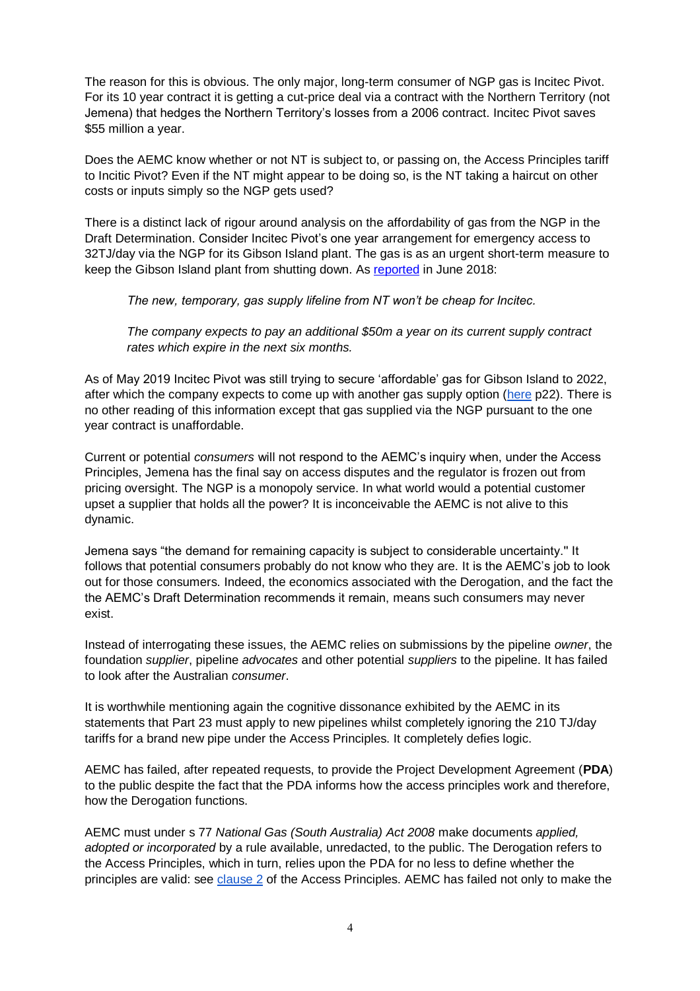The reason for this is obvious. The only major, long-term consumer of NGP gas is Incitec Pivot. For its 10 year contract it is getting a cut-price deal via a contract with the Northern Territory (not Jemena) that hedges the Northern Territory's losses from a 2006 contract. Incitec Pivot saves \$55 million a year.

Does the AEMC know whether or not NT is subject to, or passing on, the Access Principles tariff to Incitic Pivot? Even if the NT might appear to be doing so, is the NT taking a haircut on other costs or inputs simply so the NGP gets used?

There is a distinct lack of rigour around analysis on the affordability of gas from the NGP in the Draft Determination. Consider Incitec Pivot's one year arrangement for emergency access to 32TJ/day via the NGP for its Gibson Island plant. The gas is as an urgent short-term measure to keep the Gibson Island plant from shutting down. As [reported](https://www.farmonline.com.au/story/5489932/incitec-fert-plant-gets-nt-gas-lifeline/) in June 2018:

*The new, temporary, gas supply lifeline from NT won't be cheap for Incitec.*

*The company expects to pay an additional \$50m a year on its current supply contract rates which expire in the next six months.*

As of May 2019 Incitec Pivot was still trying to secure 'affordable' gas for Gibson Island to 2022, after which the company expects to come up with another gas supply option [\(here](https://www.asx.com.au/asxpdf/20190520/pdf/4456h5g17pww67.pdf) p22). There is no other reading of this information except that gas supplied via the NGP pursuant to the one year contract is unaffordable.

Current or potential *consumers* will not respond to the AEMC's inquiry when, under the Access Principles, Jemena has the final say on access disputes and the regulator is frozen out from pricing oversight. The NGP is a monopoly service. In what world would a potential customer upset a supplier that holds all the power? It is inconceivable the AEMC is not alive to this dynamic.

Jemena says "the demand for remaining capacity is subject to considerable uncertainty.'' It follows that potential consumers probably do not know who they are. It is the AEMC's job to look out for those consumers. Indeed, the economics associated with the Derogation, and the fact the the AEMC's Draft Determination recommends it remain, means such consumers may never exist.

Instead of interrogating these issues, the AEMC relies on submissions by the pipeline *owner*, the foundation *supplier*, pipeline *advocates* and other potential *suppliers* to the pipeline. It has failed to look after the Australian *consumer*.

It is worthwhile mentioning again the cognitive dissonance exhibited by the AEMC in its statements that Part 23 must apply to new pipelines whilst completely ignoring the 210 TJ/day tariffs for a brand new pipe under the Access Principles. It completely defies logic.

AEMC has failed, after repeated requests, to provide the Project Development Agreement (**PDA**) to the public despite the fact that the PDA informs how the access principles work and therefore, how the Derogation functions.

AEMC must under s 77 *National Gas (South Australia) Act 2008* make documents *applied, adopted or incorporated* by a rule available, unredacted, to the public. The Derogation refers to the Access Principles, which in turn, relies upon the PDA for no less to define whether the principles are valid: see [clause 2](https://jemena.com.au/getattachment/industry/pipelines/Northern-Gas-Pipeline/Services/NGP-Access-Principles.pdf.aspx) of the Access Principles. AEMC has failed not only to make the